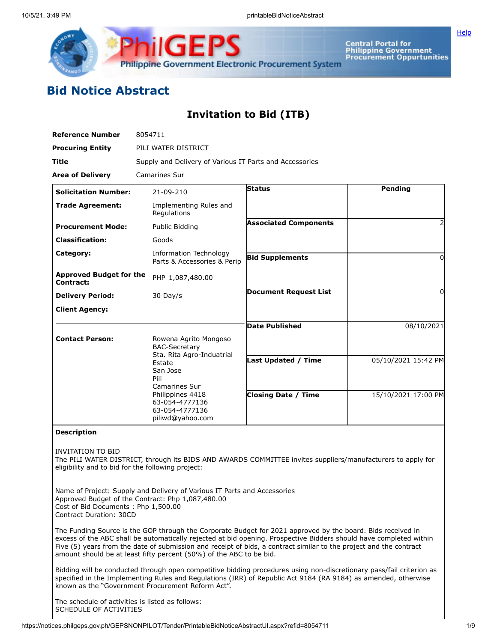

Central Portal for<br>Philippine Government<br>Procurement Oppurtunities

**[Help](javascript:void(window.open()** 

## **Bid Notice Abstract**

## **Invitation to Bid (ITB)**

| <b>Reference Number</b>                                                                                                                                                                                                                                                  | 8054711                                                                                                                                                     |                              |                     |  |
|--------------------------------------------------------------------------------------------------------------------------------------------------------------------------------------------------------------------------------------------------------------------------|-------------------------------------------------------------------------------------------------------------------------------------------------------------|------------------------------|---------------------|--|
| <b>Procuring Entity</b>                                                                                                                                                                                                                                                  | PILI WATER DISTRICT                                                                                                                                         |                              |                     |  |
| Title                                                                                                                                                                                                                                                                    | Supply and Delivery of Various IT Parts and Accessories                                                                                                     |                              |                     |  |
| <b>Area of Delivery</b>                                                                                                                                                                                                                                                  | Camarines Sur                                                                                                                                               |                              |                     |  |
| <b>Solicitation Number:</b>                                                                                                                                                                                                                                              | 21-09-210                                                                                                                                                   | <b>Status</b>                | Pending             |  |
| <b>Trade Agreement:</b>                                                                                                                                                                                                                                                  | Implementing Rules and<br>Regulations                                                                                                                       |                              |                     |  |
| <b>Procurement Mode:</b>                                                                                                                                                                                                                                                 | Public Bidding                                                                                                                                              | <b>Associated Components</b> |                     |  |
| <b>Classification:</b>                                                                                                                                                                                                                                                   | Goods                                                                                                                                                       |                              |                     |  |
| Category:                                                                                                                                                                                                                                                                | Information Technology<br>Parts & Accessories & Perip                                                                                                       | <b>Bid Supplements</b>       | $\Omega$            |  |
| <b>Approved Budget for the</b><br>Contract:                                                                                                                                                                                                                              | PHP 1,087,480.00                                                                                                                                            |                              |                     |  |
| <b>Delivery Period:</b>                                                                                                                                                                                                                                                  | $30$ Day/s                                                                                                                                                  | <b>Document Request List</b> | $\Omega$            |  |
| <b>Client Agency:</b>                                                                                                                                                                                                                                                    |                                                                                                                                                             |                              |                     |  |
|                                                                                                                                                                                                                                                                          |                                                                                                                                                             | <b>Date Published</b>        | 08/10/2021          |  |
| <b>Contact Person:</b>                                                                                                                                                                                                                                                   | Rowena Agrito Mongoso<br><b>BAC-Secretary</b>                                                                                                               |                              |                     |  |
|                                                                                                                                                                                                                                                                          | Sta. Rita Agro-Induatrial<br>Estate<br>San Jose<br>Pili<br><b>Camarines Sur</b><br>Philippines 4418<br>63-054-4777136<br>63-054-4777136<br>piliwd@yahoo.com | <b>Last Updated / Time</b>   | 05/10/2021 15:42 PM |  |
|                                                                                                                                                                                                                                                                          |                                                                                                                                                             | <b>Closing Date / Time</b>   | 15/10/2021 17:00 PM |  |
| <b>Description</b>                                                                                                                                                                                                                                                       |                                                                                                                                                             |                              |                     |  |
| <b>INVITATION TO BID</b><br>The PILI WATER DISTRICT, through its BIDS AND AWARDS COMMITTEE invites suppliers/manufacturers to apply for<br>eligibility and to bid for the following project:<br>Name of Project: Supply and Delivery of Various IT Parts and Accessories |                                                                                                                                                             |                              |                     |  |
| Approved Budget of the Contract: Php 1,087,480.00<br>Cost of Bid Documents: Php 1,500.00<br><b>Contract Duration: 30CD</b>                                                                                                                                               |                                                                                                                                                             |                              |                     |  |

The Funding Source is the GOP through the Corporate Budget for 2021 approved by the board. Bids received in excess of the ABC shall be automatically rejected at bid opening. Prospective Bidders should have completed within Five (5) years from the date of submission and receipt of bids, a contract similar to the project and the contract amount should be at least fifty percent (50%) of the ABC to be bid.

Bidding will be conducted through open competitive bidding procedures using non-discretionary pass/fail criterion as specified in the Implementing Rules and Regulations (IRR) of Republic Act 9184 (RA 9184) as amended, otherwise known as the "Government Procurement Reform Act".

The schedule of activities is listed as follows: SCHEDULE OF ACTIVITIES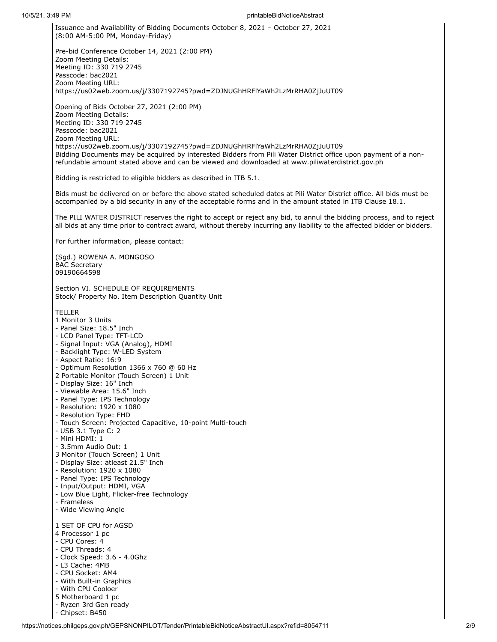Issuance and Availability of Bidding Documents October 8, 2021 – October 27, 2021 (8:00 AM-5:00 PM, Monday-Friday) Pre-bid Conference October 14, 2021 (2:00 PM) Zoom Meeting Details: Meeting ID: 330 719 2745 Passcode: bac2021 Zoom Meeting URL: https://us02web.zoom.us/j/3307192745?pwd=ZDJNUGhHRFlYaWh2LzMrRHA0ZjJuUT09 Opening of Bids October 27, 2021 (2:00 PM) Zoom Meeting Details: Meeting ID: 330 719 2745 Passcode: bac2021 Zoom Meeting URL: https://us02web.zoom.us/j/3307192745?pwd=ZDJNUGhHRFlYaWh2LzMrRHA0ZjJuUT09 Bidding Documents may be acquired by interested Bidders from Pili Water District office upon payment of a nonrefundable amount stated above and can be viewed and downloaded at www.piliwaterdistrict.gov.ph Bidding is restricted to eligible bidders as described in ITB 5.1. Bids must be delivered on or before the above stated scheduled dates at Pili Water District office. All bids must be accompanied by a bid security in any of the acceptable forms and in the amount stated in ITB Clause 18.1. The PILI WATER DISTRICT reserves the right to accept or reject any bid, to annul the bidding process, and to reject all bids at any time prior to contract award, without thereby incurring any liability to the affected bidder or bidders. For further information, please contact: (Sgd.) ROWENA A. MONGOSO BAC Secretary 09190664598 Section VI. SCHEDULE OF REQUIREMENTS Stock/ Property No. Item Description Quantity Unit TELLER 1 Monitor 3 Units - Panel Size: 18.5" Inch - LCD Panel Type: TFT-LCD - Signal Input: VGA (Analog), HDMI - Backlight Type: W-LED System - Aspect Ratio: 16:9 - Optimum Resolution 1366 x 760 @ 60 Hz 2 Portable Monitor (Touch Screen) 1 Unit - Display Size: 16" Inch - Viewable Area: 15.6" Inch - Panel Type: IPS Technology - Resolution: 1920 x 1080 - Resolution Type: FHD - Touch Screen: Projected Capacitive, 10-point Multi-touch - USB 3.1 Type C: 2 - Mini HDMI: 1 - 3.5mm Audio Out: 1 3 Monitor (Touch Screen) 1 Unit - Display Size: atleast 21.5" Inch - Resolution: 1920 x 1080 - Panel Type: IPS Technology - Input/Output: HDMI, VGA - Low Blue Light, Flicker-free Technology - Frameless - Wide Viewing Angle 1 SET OF CPU for AGSD 4 Processor 1 pc - CPU Cores: 4 - CPU Threads: 4 - Clock Speed: 3.6 - 4.0Ghz - L3 Cache: 4MB - CPU Socket: AM4 - With Built-in Graphics - With CPU Cooloer 5 Motherboard 1 pc - Ryzen 3rd Gen ready

- Chipset: B450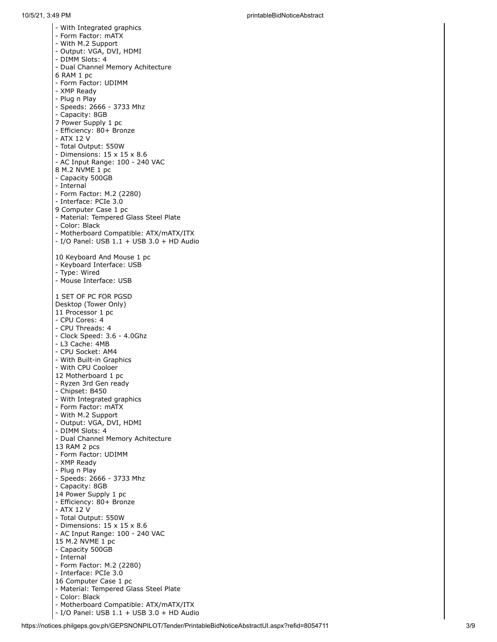- With Integrated graphics - Form Factor: mATX - With M.2 Support - Output: VGA, DVI, HDMI - DIMM Slots: 4 - Dual Channel Memory Achitecture 6 RAM 1 p c - Form Factor: UDIMM - XMP Ready - Plu g n Pla y - Speeds: 2666 - 3733 Mhz - Capacity: 8GB 7 Power Supply 1 pc - Efficiency: 80+ Bronze - AT X 1 2 V - Total Output: 550W - Dimensions: 15 x 15 x 8.6 - AC Input Range: 100 - 240 VAC 8 M.2 NVME 1 pc - Capacity 500GB - Internal - Form Factor: M.2 (2280) - Interface: PCIe 3.0 9 Computer Case 1 pc - Material: Tempered Glass Steel Plate - C olo r: Bla c k - Motherboard Compatible: ATX/mATX/ITX - I/O Panel: USB 1.1 + USB 3.0 + HD Audio 10 Keyboard And Mouse 1 pc - Keyboard Interface: USB - Type: Wired - Mouse Interface: USB 1 SET OF PC FOR PGSD Desktop (Tower Only) 11 Processor 1 pc - CPU Cores: 4 - CPU Threads: 4 - Clock Speed: 3.6 - 4.0Ghz - L3 Cache: 4MB - CPU Socket: AM4 - With Built-in Graphics - With CPU Cooloer 12 Motherboard 1 pc - Ryzen 3rd Gen ready - Chipset: B450 - With Integrated graphics - Form Factor: mATX - With M.2 Support - Output: VGA, DVI, HDMI - DIMM Slots: 4 - Dual Channel Memory Achitecture 13 RAM 2 pcs - Form Factor: UDIMM - XMP Ready - Plu g n Pla y - Speeds: 2666 - 3733 Mhz - Capacity: 8GB 14 Power Supply 1 pc - Efficiency: 80+ Bronze - AT X 1 2 V - Total Output: 550W - Dimensions: 15 x 15 x 8.6 - AC Input Range: 100 - 240 VAC 15 M.2 NVME 1 pc - Capacity 500GB - Internal - Form Factor: M.2 (2280) - Interface: PCIe 3.0 16 Computer Case 1 pc - Material: Tempered Glass Steel Plate - C olo r: Bla c k - Motherboard Compatible: ATX/mATX/ITX

- I/O Panel: USB 1.1 + USB 3.0 + HD Audio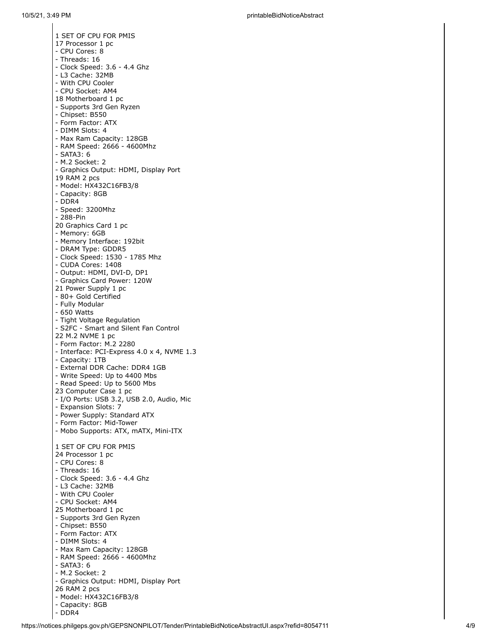1 SET OF CPU FOR PMIS 17 Processor 1 pc - CPU Cores: 8 - Threads: 16 - Clock Speed: 3.6 - 4.4 Ghz - L3 Cache: 32MB - With CPU Cooler - CPU Socket: AM4 18 Motherboard 1 pc - Supports 3rd Gen Ryzen - Chipset: B550 - Form Factor: ATX - DIMM Slots: 4 - Max Ram Capacity: 128GB - RAM Speed: 2666 - 4600Mhz - S ATA3: 6 - M.2 Socket: 2 - Graphics Output: HDMI, Display Port 19 RAM 2 pcs - M o d el: H X 4 3 2 C 1 6 F B 3 / 8 - Capacity: 8GB - D D R 4 - Speed: 3200Mhz - 2 8 8 - Pin 20 Graphics Card 1 pc - Memory: 6GB - Memory Interface: 192bit - DRAM Type: GDDR5 - Clock Speed: 1530 - 1785 Mhz - CUDA Cores: 1408 - Output: HDMI, DVI-D, DP1 - Graphics Card Power: 120W 21 Power Supply 1 pc - 80+ Gold Certified - Fully Modular - 650 Watts - Tight Voltage Regulation - S2FC - Smart and Silent Fan Control 22 M.2 NVME 1 pc - Form Factor: M.2 2280 - Interface: PCI-Express 4.0 x 4, NVM E 1.3 - Capacity: 1TB - External DDR Cache: DDR4 1GB - Write Speed: Up to 4400 Mbs - Read Speed: Up to 5600 Mbs 23 Computer Case 1 pc - I/O Ports: USB 3.2, USB 2.0, Audio, Mic - Expansion Slots: 7 - Power Supply: Standard ATX - Form Factor: Mid-Tower - Mobo Supports: ATX, mATX, Mini-ITX 1 SET OF CPU FOR PMIS 24 Processor 1 pc - CPU Cores: 8 - Threads: 16 - Clock Speed: 3.6 - 4.4 Ghz - L3 Cache: 32MB - With CPU Cooler - CPU Socket: AM4 25 Motherboard 1 pc - Supports 3rd Gen Ryzen - Chipset: B550 - Form Factor: ATX - DIMM Slots: 4 - Max Ram Capacity: 128GB - RAM Speed: 2666 - 4600Mhz - S ATA3: 6 - M.2 Socket: 2 - Graphics Output: HDMI, Display Port 26 RAM 2 pcs - M o d el: H X 4 3 2 C 1 6 F B 3 / 8 - Capacity: 8GB - D D R 4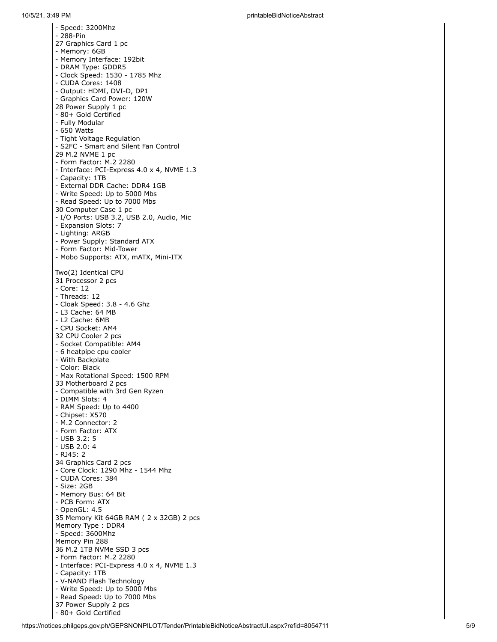- Speed: 3200Mhz - 2 8 8 - Pin 27 Graphics Card 1 pc - Memory: 6GB - Memory Interface: 192bit - DRAM Type: GDDR5 - Clock Speed: 1530 - 1785 Mhz - CUDA Cores: 1408 - Output: HDMI, DVI-D, DP1 - Graphics Card Power: 120W 28 Power Supply 1 pc - 80+ Gold Certified - Fully Modular - 650 Watts - Tight Voltage Regulation - S2FC - Smart and Silent Fan Control 29 M.2 NVME 1 pc - Form Factor: M.2 2280 - Interface: PCI-Express 4.0 x 4, NVM E 1.3 - Capacity: 1TB - External DDR Cache: DDR4 1GB - Write Speed: Up to 5000 Mbs - Read Speed: Up to 7000 Mbs 30 Computer Case 1 pc - I/O Ports: USB 3.2, USB 2.0, Audio, Mic - Expansion Slots: 7 - Lig h tin g: AR G B - Power Supply: Standard ATX - Form Factor: Mid-Tower - Mobo Supports: ATX, mATX, Mini-ITX Two(2) Identical CPU 31 Processor 2 pcs - Core: 12 - Threads: 12 - Cloak Speed: 3.8 - 4.6 Ghz - L3 Cache: 64 MB - L2 Cache: 6MB - CPU Socket: AM4 32 CPU Cooler 2 pcs - Socket Compatible: AM4 - 6 heatpipe cpu cooler - With Backplate - C olo r: Bla c k - Max Rotational Speed: 1500 RPM 33 Motherboard 2 pcs - Compatible with 3rd Gen Ryzen - DIMM Slots: 4 - RAM Speed: Up to 4400 - Chipset: X570 - M.2 Connector: 2 - Form Factor: ATX - USB 3.2: 5 - USB 2.0: 4 - R J 4 5: 2 34 Graphics Card 2 pcs - Core Clock: 1290 Mhz - 1544 Mhz - CUDA Cores: 384 - Si z e: 2 G B - Memory Bus: 64 Bit - PCB Form: ATX - O p e n G L: 4.5 35 Memory Kit 64GB RAM ( 2 x 32GB) 2 pcs Memory Type: DDR4 - Speed: 3600Mhz Memory Pin 288 36 M.2 1TB NVMe SSD 3 pcs - Form Factor: M.2 2280 - Interface: PCI-Express 4.0 x 4, NVME 1.3 - Capacity: 1TB - V-NAND Flash Technology - Write Speed: Up to 5000 Mbs - Read Speed: Up to 7000 Mbs 37 Power Supply 2 pcs - 80+ Gold Certified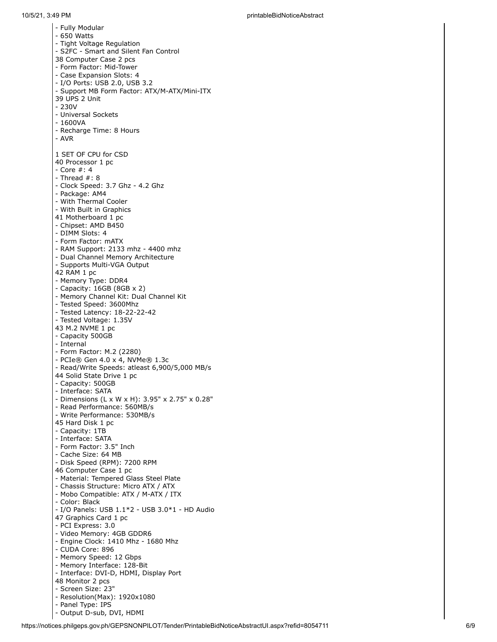- Fully Modular - 650 Watts - Tight Voltage Regulation - S2FC - Smart and Silent Fan Control 38 Computer Case 2 pcs - Form Factor: Mid-Tower - Case Expansion Slots: 4 - I/O Ports: USB 2.0, USB 3.2 - Support MB Form Factor: ATX/M-ATX/Mini-ITX 3 9 U PS 2 U nit - 2 3 0V - Universal Sockets - 1600VA - Recharge Time: 8 Hours - AVR 1 SET OF CPU for CSD 40 Processor 1 pc - C o r e #: 4 - Thread #: 8 - Clock Speed: 3.7 Ghz - 4.2 Ghz - Package: AM4 - With Thermal Cooler - With Built in Graphics 41 Motherboard 1 pc - Chipset: AMD B450 - DIMM Slots: 4 - Form Factor: mATX - RAM Support: 2133 mhz - 4400 mhz - Dual Channel Memory Architecture - Supports Multi-VGA Output 4 2 RAM 1 p c - Memory Type: DDR4 - Capacity: 16GB (8GB x 2) - Memory Channel Kit: Dual Channel Kit - Tested Speed: 3600Mhz - Tested Latency: 18-22-22-42 - Tested Voltage: 1.35V 4 3 M.2 NVM E 1 p c - Capacity 500GB - Internal - Form Factor: M.2 (2280) - PCIe® Gen 4.0 x 4, NVMe® 1.3c - Read/Write Speeds: atleast 6,900/5,000 MB/s 44 Solid State Drive 1 pc - Capacity: 500GB - Interface: SATA - Dimensions (L x W x H): 3.95" x 2.75" x 0.28" - Read Performance: 560MB/s - Write Performance: 530MB/s 45 Hard Disk 1 pc - Capacity: 1TB - Interface: SATA - Form Factor: 3.5" Inch - Cache Size: 64 MB - Disk Speed (RPM): 7200 RPM 46 Computer Case 1 pc - Material: Tempered Glass Steel Plate - Chassis Structure: Micro ATX / ATX - Mobo Compatible: ATX / M-ATX / ITX - C olo r: Bla c k - I/O Panels: USB 1.1\*2 - USB 3.0\*1 - HD Audio 47 Graphics Card 1 pc - PCI Express: 3.0 - Video Memory: 4GB GDDR6 - Engine Clock: 1410 Mhz - 1680 Mhz - CUDA Core: 896 - Memory Speed: 12 Gbps - Memory Interface: 128-Bit - Interface: DVI-D, HDMI, Display Port 48 Monitor 2 pcs - Screen Size: 23" - Resolution(Max): 1920x1080 - Panel Type: IPS - Output D-sub, DVI, HDMI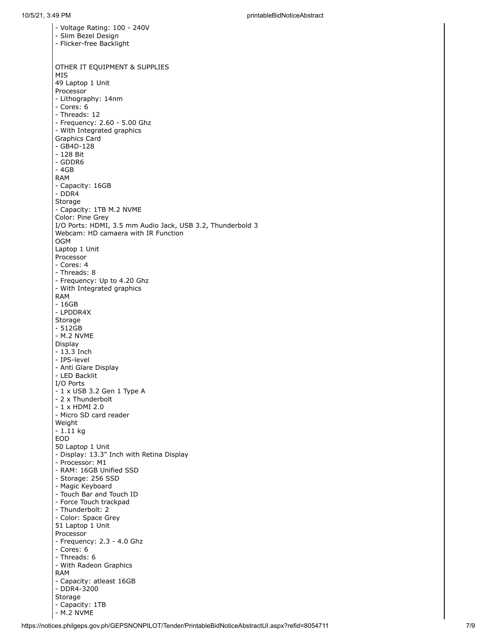- Voltage Rating: 100 - 240V - Slim Bezel Design - Flicker-free Backlight OTHER IT EQUIPMENT & SUPPLIES MIS 49 Laptop 1 Unit Processor - Lithography: 14nm - Cores: 6 - Threads: 12 - Frequency: 2.60 - 5.00 Ghz - With Integrated graphics Graphics Card - GB4D-128 - 128 Bit - GDDR6 - 4GB RAM - Capacity: 16GB - DDR4 Storage - Capacity: 1TB M.2 NVME Color: Pine Grey I/O Ports: HDMI, 3.5 mm Audio Jack, USB 3.2, Thunderbold 3 Webcam: HD camaera with IR Function OGM Laptop 1 Unit Processor - Cores: 4 - Threads: 8 - Frequency: Up to 4.20 Ghz - With Integrated graphics RAM - 16GB - LPDDR4X Storage - 512GB - M.2 NVME Display - 13.3 Inch - IPS-level - Anti Glare Display - LED Backlit I/O Ports - 1 x USB 3.2 Gen 1 Type A - 2 x Thunderbolt - 1 x HDMI 2.0 - Micro SD card reader Weight - 1.11 kg EOD 50 Laptop 1 Unit - Display: 13.3" Inch with Retina Display - Processor: M1 - RAM: 16GB Unified SSD - Storage: 256 SSD - Magic Keyboard - Touch Bar and Touch ID - Force Touch trackpad - Thunderbolt: 2 - Color: Space Grey 51 Laptop 1 Unit Processor - Frequency: 2.3 - 4.0 Ghz - Cores: 6 - Threads: 6 - With Radeon Graphics RAM - Capacity: atleast 16GB - DDR4-3200 Storage - Capacity: 1TB - M.2 NVME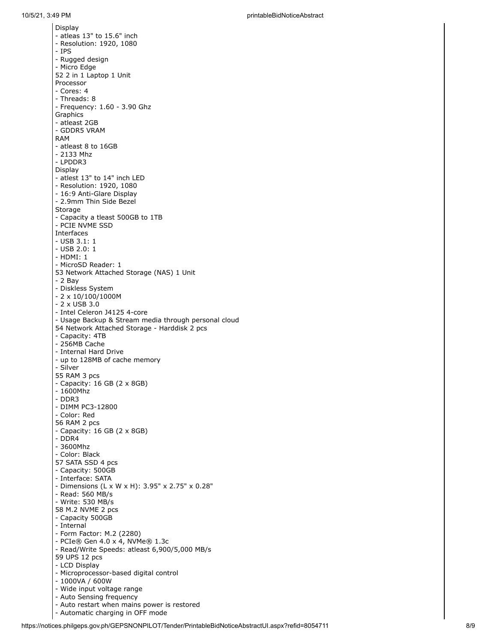Dis pla y - atleas 13" to 15.6" inch - Resolution: 1920, 1080 - I PS - Rugged design - Micro Edge 52 2 in 1 Laptop 1 Unit Processor - Cores: 4 - T h r e a d s: 8 - Frequency: 1.60 - 3.90 Ghz **Graphics** - atleast 2GB - G D D R 5 VRAM RAM - atleast 8 to 16GB - 2133 Mhz - LPDDR3 Dis pla y - atlest 13" to 14" inch LED - Resolution: 1920, 1080 - 16:9 Anti-Glare Display - 2.9mm Thin Side Bezel Storage - Capacity a tleast 500GB to 1TB - P C I E NVM E SSD Interfaces - USB 3.1: 1 - USB 2.0: 1 - H D M I: 1 - MicroSD Reader: 1 53 Network Attached Storage (NAS) 1 Unit - 2 B a y - Diskless System  $-2 \times 10/100/1000$ M - 2 x USB 3.0 - Intel Celeron J4125 4-core - Usage Backup & Stream media through personal cloud 54 Network Attached Storage - Harddisk 2 pcs - Capacity: 4TB - 256MB Cache - Internal Hard Drive - up to 128MB of cache memory - Silv e r 5 5 RAM 3 p c s - Capacity: 16 GB (2 x 8GB) - 1600Mhz - D D R 3 - DIMM PC3-12800 - C olo r: R e d 5 6 RAM 2 p c s - Capacity: 16 GB (2 x 8GB) - D D R 4 - 3 6 0 0 M h z - C olo r: Bla c k 57 SATA SSD 4 pcs - Capacity: 500GB - Interface: SATA - Dimensions (L x W x H): 3.95" x 2.75" x 0.28" - Read: 560 MB/s - W rit e: 5 3 0 M B / s 58 M.2 NVME 2 pcs - Capacity 500GB - Internal - Form Factor: M.2 (2280) - PCIe® Gen 4.0 x 4, NVMe® 1.3c - Read/Write Speeds: atleast 6,900/5,000 MB/s 59 UPS 12 pcs - L C D Dis pla y - Microprocessor-based digital control - 1000VA / 600W - Wide input voltage range - Auto Sensing frequency - Auto restart when mains power is restored - Automatic charging in OFF mode